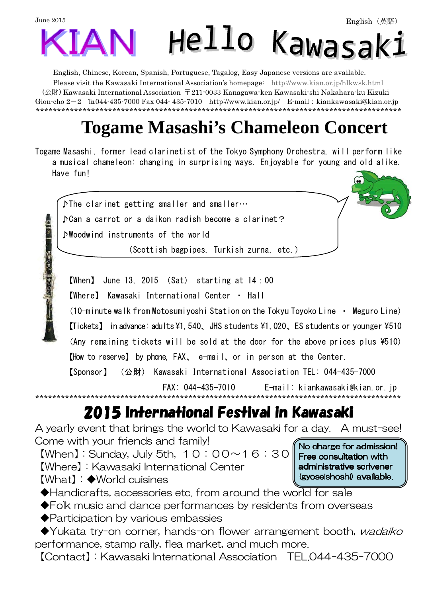

English, Chinese, Korean, Spanish, Portuguese, Tagalog, Easy Japanese versions are available.

Please visit the Kawasaki International Association's homepage: http://www.kian.or.jp/hlkwsk.html (公財) Kawasaki International Association 〒211-0033 Kanagawa-ken Kawasaki-shi Nakahara-ku Kizuki Gion-cho  $2-2$   $\text{It}044-435-7000$  Fax 044-435-7010 http://www.kian.or.jp/ E-mail: kiankawasaki@kian.or.jp \*\*\*\*\*\*\*\*\*\*\*\*\*\*\*\*\*\*\*\*\*\*\*\*\*\*\*\*\*\*\*\*\*\*\*\*\*\*\*\*\*\*\*\*\*\*\*\*\*\*\*\*\*\*\*\*\*\*\*\*\*\*\*\*\*\*\*\*\*\*\*\*\*\*\*\*\*\*\*\*\*\*\*\*\*\*

# **Togame Masashi's Chameleon Concert**

Togame Masashi, former lead clarinetist of the Tokyo Symphony Orchestra, will perform like a musical chameleon: changing in surprising ways. Enjoyable for young and old alike. Have fun!



【When】 June 13, 2015 (Sat) starting at 14:00

【Where】 Kawasaki International Center ・ Hall

(10-minute walk from Motosumiyoshi Station on the Tokyu Toyoko Line ・ Meguro Line) 【Tickets】 in advance: adults \1,540、JHS students \1,020、ES students or younger \510 (Any remaining tickets will be sold at the door for the above prices plus  $*510$ )

【How to reserve】 by phone, FAX、 e-mail、or in person at the Center.

【Sponsor】 (公財) Kawasaki International Association TEL: 044-435-7000

 FAX: 044-435-7010 E-mail: kiankawasaki@kian.or.jp \*\*\*\*\*\*\*\*\*\*\*\*\*\*\*\*\*\*\*\*\*\*\*\*\*\*\*\*\*\*\*\*\*\*\*\*\*\*\*\*\*\*\*\*\*\*\*\*\*\*\*\*\*\*\*\*\*\*\*\*\*\*\*\*\*\*\*\*\*\*\*\*\*\*\*\*\*\*\*\*\*\*\*\*\*\*

> Free consultation with administrative scrivener (gyoseishoshi) available.

## 2015 International Festival in Kawasaki 2015 International Festival in Kawasaki International Festival Kawasaki

A yearly event that brings the world to Kawasaki for a day. A must-see! Come with your friends and family! No charge for admission!

 $[When]:$  Sunday, July 5th,  $10:00 \sim 16:30$ 【Where】:Kawasaki International Center

【What】:◆World cuisines

◆Handicrafts, accessories etc. from around the world for sale

- ◆Folk music and dance performances by residents from overseas
- ◆Participation by various embassies

◆Yukata try-on corner, hands-on flower arrangement booth, *wadaiko* performance, stamp rally, flea market, and much more.

【Contact】:Kawasaki International Association TEL.044-435-7000